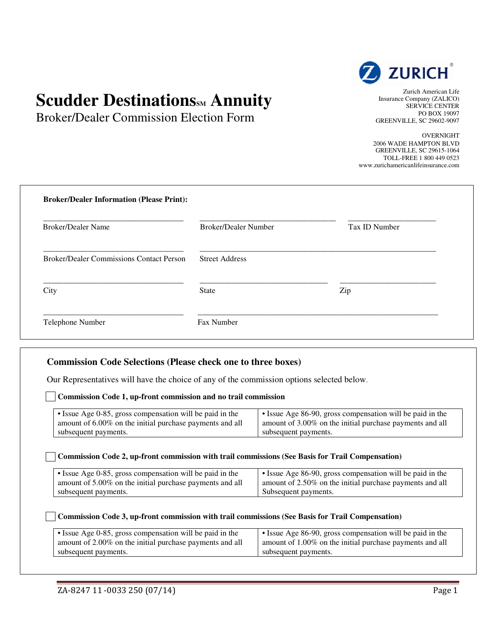# **Scudder DestinationsM Annuity**

Broker/Dealer Commission Election Form



Zurich American Life Insurance Company (ZALICO) SERVICE CENTER PO BOX 19097 GREENVILLE, SC 29602-9097

OVERNIGHT 2006 WADE HAMPTON BLVD GREENVILLE, SC 29615-1064 TOLL-FREE 1 800 449 0523 www.zurichamericanlifeinsurance.com

| <b>Broker/Dealer Name</b>                       | <b>Broker/Dealer Number</b> | Tax ID Number |
|-------------------------------------------------|-----------------------------|---------------|
| <b>Broker/Dealer Commissions Contact Person</b> | <b>Street Address</b>       |               |
| City                                            | <b>State</b>                | Zip           |

## **Commission Code Selections (Please check one to three boxes)**

Our Representatives will have the choice of any of the commission options selected below.

#### **Commission Code 1, up-front commission and no trail commission**

| • Issue Age 0-85, gross compensation will be paid in the | $\cdot$ Issue Age 86-90, gross compensation will be paid in the |
|----------------------------------------------------------|-----------------------------------------------------------------|
| amount of 6.00% on the initial purchase payments and all | amount of 3.00% on the initial purchase payments and all        |
| subsequent payments.                                     | subsequent payments.                                            |

#### **Commission Code 2, up-front commission with trail commissions (See Basis for Trail Compensation)**

| • Issue Age 0-85, gross compensation will be paid in the | I • Issue Age 86-90, gross compensation will be paid in the |
|----------------------------------------------------------|-------------------------------------------------------------|
| amount of 5.00% on the initial purchase payments and all | amount of 2.50% on the initial purchase payments and all    |
| subsequent payments.                                     | Subsequent payments.                                        |

#### **Commission Code 3, up-front commission with trail commissions (See Basis for Trail Compensation)**

| • Issue Age 0-85, gross compensation will be paid in the | • Issue Age 86-90, gross compensation will be paid in the |
|----------------------------------------------------------|-----------------------------------------------------------|
| amount of 2.00% on the initial purchase payments and all | amount of 1.00% on the initial purchase payments and all  |
| subsequent payments.                                     | subsequent payments.                                      |